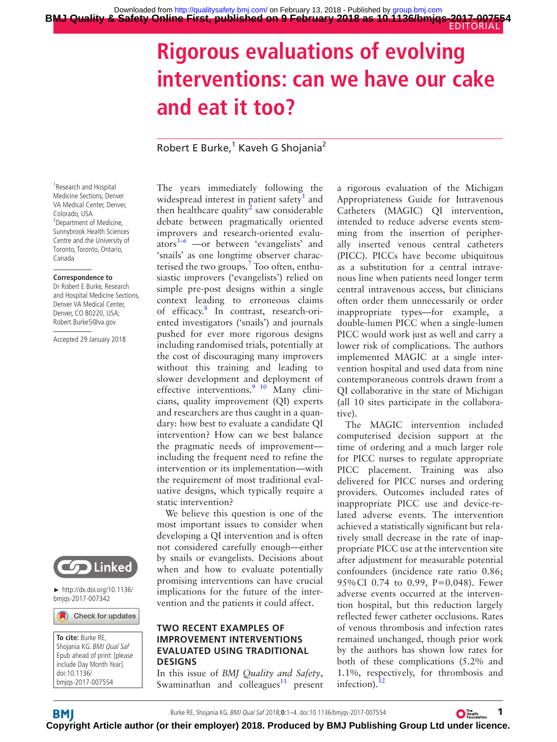# **Rigorous evaluations of evolving interventions: can we have our cake and eat it too?**

Robert E Burke, $^1$  Kaveh G Shojania $^2$ 

1 Research and Hospital Medicine Sections, Denver VA Medical Center, Denver, Colorado, USA <sup>2</sup>Department of Medicine, Sunnybrook Health Sciences Centre and the University of Toronto, Toronto, Ontario, Canada

#### **Correspondence to**

Dr Robert E Burke, Research and Hospital Medicine Sections, Denver VA Medical Center, Denver, CO 80220, USA; Robert.Burke5@va.gov

Accepted 29 January 2018



► [http://dx.doi.org/10.1136/](http://dx.doi.org/10.1136/ bmjqs-2017-007342)  [bmjqs-2017-007342](http://dx.doi.org/10.1136/ bmjqs-2017-007342)

Check for updates

**To cite:** Burke RE, Shojania KG. BMJ Qual Saf Epub ahead of print: [please include Day Month Year]. doi:10.1136/ bmjqs-2017-007554

BMJ

The years immediately following the widespread interest in patient safety<sup>[1](#page-3-0)</sup> and then healthcare quality<sup>2</sup> saw considerable debate between pragmatically oriented improvers and research-oriented evaluators $3-6$  —or between 'evangelists' and 'snails' as one longtime observer charac-terised the two groups.<sup>[7](#page-3-3)</sup> Too often, enthusiastic improvers ('evangelists') relied on simple pre-post designs within a single context leading to erroneous claims of efficacy.<sup>[8](#page-3-4)</sup> In contrast, research-oriented investigators ('snails') and journals pushed for ever more rigorous designs including randomised trials, potentially at the cost of discouraging many improvers without this training and leading to slower development and deployment of effective interventions.<sup>9</sup> <sup>10</sup> Many clinicians, quality improvement (QI) experts and researchers are thus caught in a quandary: how best to evaluate a candidate QI intervention? How can we best balance the pragmatic needs of improvement including the frequent need to refine the intervention or its implementation—with the requirement of most traditional evaluative designs, which typically require a static intervention?

We believe this question is one of the most important issues to consider when developing a QI intervention and is often not considered carefully enough—either by snails or evangelists. Decisions about when and how to evaluate potentially promising interventions can have crucial implications for the future of the intervention and the patients it could affect.

## **Two recent examples of improvement interventions evaluated using traditional designs**

In this issue of *BMJ Quality and Safety*, Swaminathan and colleagues $11$  present a rigorous evaluation of the Michigan Appropriateness Guide for Intravenous Catheters (MAGIC) QI intervention, intended to reduce adverse events stemming from the insertion of peripherally inserted venous central catheters (PICC). PICCs have become ubiquitous as a substitution for a central intravenous line when patients need longer term central intravenous access, but clinicians often order them unnecessarily or order inappropriate types—for example, a double-lumen PICC when a single-lumen PICC would work just as well and carry a lower risk of complications. The authors implemented MAGIC at a single intervention hospital and used data from nine contemporaneous controls drawn from a QI collaborative in the state of Michigan (all 10 sites participate in the collaborative).

The MAGIC intervention included computerised decision support at the time of ordering and a much larger role for PICC nurses to regulate appropriate PICC placement. Training was also delivered for PICC nurses and ordering providers. Outcomes included rates of inappropriate PICC use and device-related adverse events. The intervention achieved a statistically significant but relatively small decrease in the rate of inappropriate PICC use at the intervention site after adjustment for measurable potential confounders (incidence rate ratio 0.86; 95%CI 0.74 to 0.99, P=0.048). Fewer adverse events occurred at the intervention hospital, but this reduction largely reflected fewer catheter occlusions. Rates of venous thrombosis and infection rates remained unchanged, though prior work by the authors has shown low rates for both of these complications (5.2% and 1.1%, respectively, for thrombosis and infection). $^{12}$  $^{12}$  $^{12}$ 

**[Copyri](http://qualitysafety.bmj.com/)ght Article author (or their employer) 2018. Produced by BMJ Publishing Group Ltd under licence.**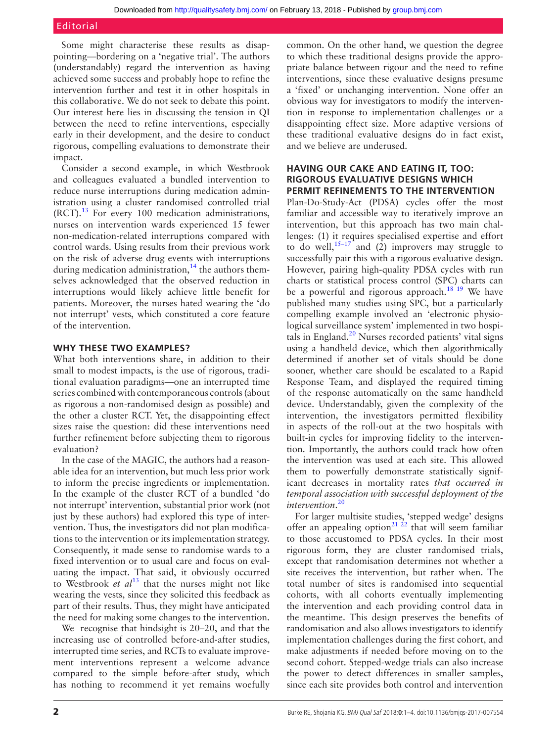## Editorial

Some might characterise these results as disappointing—bordering on a 'negative trial'. The authors (understandably) regard the intervention as having achieved some success and probably hope to refine the intervention further and test it in other hospitals in this collaborative. We do not seek to debate this point. Our interest here lies in discussing the tension in QI between the need to refine interventions, especially early in their development, and the desire to conduct rigorous, compelling evaluations to demonstrate their impact.

Consider a second example, in which Westbrook and colleagues evaluated a bundled intervention to reduce nurse interruptions during medication administration using a cluster randomised controlled trial  $(RCT).$ <sup>13</sup> For every 100 medication administrations, nurses on intervention wards experienced 15 fewer non-medication-related interruptions compared with control wards. Using results from their previous work on the risk of adverse drug events with interruptions during medication administration, $^{14}$  $^{14}$  $^{14}$  the authors themselves acknowledged that the observed reduction in interruptions would likely achieve little benefit for patients. Moreover, the nurses hated wearing the 'do not interrupt' vests, which constituted a core feature of the intervention.

#### **Why these two examples?**

What both interventions share, in addition to their small to modest impacts, is the use of rigorous, traditional evaluation paradigms—one an interrupted time series combined with contemporaneous controls (about as rigorous a non-randomised design as possible) and the other a cluster RCT. Yet, the disappointing effect sizes raise the question: did these interventions need further refinement before subjecting them to rigorous evaluation?

In the case of the MAGIC, the authors had a reasonable idea for an intervention, but much less prior work to inform the precise ingredients or implementation. In the example of the cluster RCT of a bundled 'do not interrupt' intervention, substantial prior work (not just by these authors) had explored this type of intervention. Thus, the investigators did not plan modifications to the intervention or its implementation strategy. Consequently, it made sense to randomise wards to a fixed intervention or to usual care and focus on evaluating the impact. That said, it obviously occurred to Westbrook *et al*[13](#page-3-8) that the nurses might not like wearing the vests, since they solicited this feedback as part of their results. Thus, they might have anticipated the need for making some changes to the intervention.

We recognise that hindsight is 20–20, and that the increasing use of controlled before-and-after studies, interrupted time series, and RCTs to evaluate improvement interventions represent a welcome advance compared to the simple before-after study, which has nothing to recommend it yet remains woefully common. On the other hand, we question the degree to which these traditional designs provide the appropriate balance between rigour and the need to refine interventions, since these evaluative designs presume a 'fixed' or unchanging intervention. None offer an obvious way for investigators to modify the intervention in response to implementation challenges or a disappointing effect size. More adaptive versions of these traditional evaluative designs do in fact exist, and we believe are underused.

# **Having our cake and eating it, too: rigorous evaluative designs which permit refinements to the intervention**

Plan-Do-Study-Act (PDSA) cycles offer the most familiar and accessible way to iteratively improve an intervention, but this approach has two main challenges: (1) it requires specialised expertise and effort to do well,  $15-17$  and (2) improvers may struggle to successfully pair this with a rigorous evaluative design. However, pairing high-quality PDSA cycles with run charts or statistical process control (SPC) charts can be a powerful and rigorous approach.<sup>18 19</sup> We have published many studies using SPC, but a particularly compelling example involved an 'electronic physiological surveillance system' implemented in two hospitals in England.<sup>20</sup> Nurses recorded patients' vital signs using a handheld device, which then algorithmically determined if another set of vitals should be done sooner, whether care should be escalated to a Rapid Response Team, and displayed the required timing of the response automatically on the same handheld device. Understandably, given the complexity of the intervention, the investigators permitted flexibility in aspects of the roll-out at the two hospitals with built-in cycles for improving fidelity to the intervention. Importantly, the authors could track how often the intervention was used at each site. This allowed them to powerfully demonstrate statistically significant decreases in mortality rates *that occurred in temporal association with successful deployment of the intervention*. [20](#page-3-12)

For larger multisite studies, 'stepped wedge' designs offer an appealing option<sup>21 22</sup> that will seem familiar to those accustomed to PDSA cycles. In their most rigorous form, they are cluster randomised trials, except that randomisation determines not whether a site receives the intervention, but rather when. The total number of sites is randomised into sequential cohorts, with all cohorts eventually implementing the intervention and each providing control data in the meantime. This design preserves the benefits of randomisation and also allows investigators to identify implementation challenges during the first cohort, and make adjustments if needed before moving on to the second cohort. Stepped-wedge trials can also increase the power to detect differences in smaller samples, since each site provides both control and intervention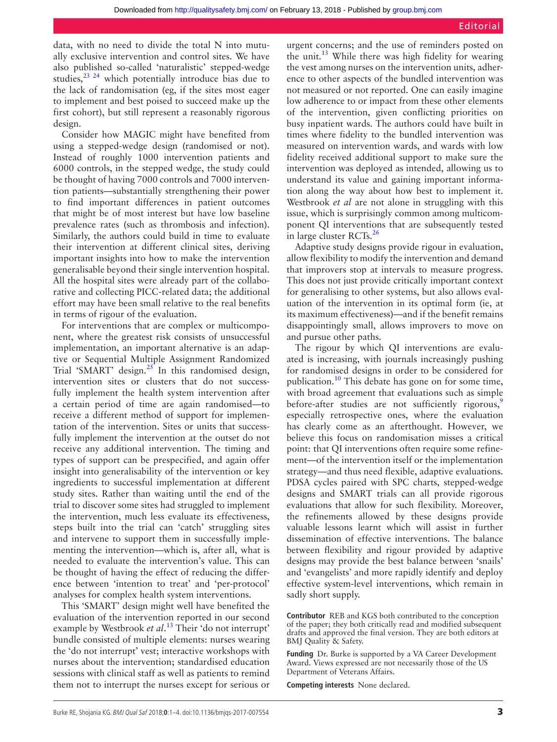data, with no need to divide the total N into mutually exclusive intervention and control sites. We have also published so-called 'naturalistic' stepped-wedge studies, $^{23}$   $^{24}$  which potentially introduce bias due to the lack of randomisation (eg, if the sites most eager to implement and best poised to succeed make up the first cohort), but still represent a reasonably rigorous design.

Consider how MAGIC might have benefited from using a stepped-wedge design (randomised or not). Instead of roughly 1000 intervention patients and 6000 controls, in the stepped wedge, the study could be thought of having 7000 controls and 7000 intervention patients—substantially strengthening their power to find important differences in patient outcomes that might be of most interest but have low baseline prevalence rates (such as thrombosis and infection). Similarly, the authors could build in time to evaluate their intervention at different clinical sites, deriving important insights into how to make the intervention generalisable beyond their single intervention hospital. All the hospital sites were already part of the collaborative and collecting PICC-related data; the additional effort may have been small relative to the real benefits in terms of rigour of the evaluation.

For interventions that are complex or multicomponent, where the greatest risk consists of unsuccessful implementation, an important alternative is an adaptive or Sequential Multiple Assignment Randomized Trial 'SMART' design.<sup>[25](#page-3-15)</sup> In this randomised design, intervention sites or clusters that do not successfully implement the health system intervention after a certain period of time are again randomised—to receive a different method of support for implementation of the intervention. Sites or units that successfully implement the intervention at the outset do not receive any additional intervention. The timing and types of support can be prespecified, and again offer insight into generalisability of the intervention or key ingredients to successful implementation at different study sites. Rather than waiting until the end of the trial to discover some sites had struggled to implement the intervention, much less evaluate its effectiveness, steps built into the trial can 'catch' struggling sites and intervene to support them in successfully implementing the intervention—which is, after all, what is needed to evaluate the intervention's value. This can be thought of having the effect of reducing the difference between 'intention to treat' and 'per-protocol' analyses for complex health system interventions.

This 'SMART' design might well have benefited the evaluation of the intervention reported in our second example by Westbrook *et al*. [13](#page-3-8) Their 'do not interrupt' bundle consisted of multiple elements: nurses wearing the 'do not interrupt' vest; interactive workshops with nurses about the intervention; standardised education sessions with clinical staff as well as patients to remind them not to interrupt the nurses except for serious or

urgent concerns; and the use of reminders posted on the unit.<sup>[13](#page-3-8)</sup> While there was high fidelity for wearing the vest among nurses on the intervention units, adherence to other aspects of the bundled intervention was not measured or not reported. One can easily imagine low adherence to or impact from these other elements of the intervention, given conflicting priorities on busy inpatient wards. The authors could have built in times where fidelity to the bundled intervention was measured on intervention wards, and wards with low fidelity received additional support to make sure the intervention was deployed as intended, allowing us to understand its value and gaining important information along the way about how best to implement it. Westbrook *et al* are not alone in struggling with this issue, which is surprisingly common among multicomponent QI interventions that are subsequently tested in large cluster RCTs.<sup>26</sup>

Adaptive study designs provide rigour in evaluation, allow flexibility to modify the intervention and demand that improvers stop at intervals to measure progress. This does not just provide critically important context for generalising to other systems, but also allows evaluation of the intervention in its optimal form (ie, at its maximum effectiveness)—and if the benefit remains disappointingly small, allows improvers to move on and pursue other paths.

The rigour by which QI interventions are evaluated is increasing, with journals increasingly pushing for randomised designs in order to be considered for publication.<sup>10</sup> This debate has gone on for some time, with broad agreement that evaluations such as simple before-after studies are not sufficiently rigorous,<sup>[9](#page-3-5)</sup> especially retrospective ones, where the evaluation has clearly come as an afterthought. However, we believe this focus on randomisation misses a critical point: that QI interventions often require some refinement—of the intervention itself or the implementation strategy—and thus need flexible, adaptive evaluations. PDSA cycles paired with SPC charts, stepped-wedge designs and SMART trials can all provide rigorous evaluations that allow for such flexibility. Moreover, the refinements allowed by these designs provide valuable lessons learnt which will assist in further dissemination of effective interventions. The balance between flexibility and rigour provided by adaptive designs may provide the best balance between 'snails' and 'evangelists' and more rapidly identify and deploy effective system-level interventions, which remain in sadly short supply.

**Contributor** REB and KGS both contributed to the conception of the paper; they both critically read and modified subsequent drafts and approved the final version. They are both editors at BMJ Quality & Safety.

**Funding** Dr. Burke is supported by a VA Career Development Award. Views expressed are not necessarily those of the US Department of Veterans Affairs.

**Competing interests** None declared.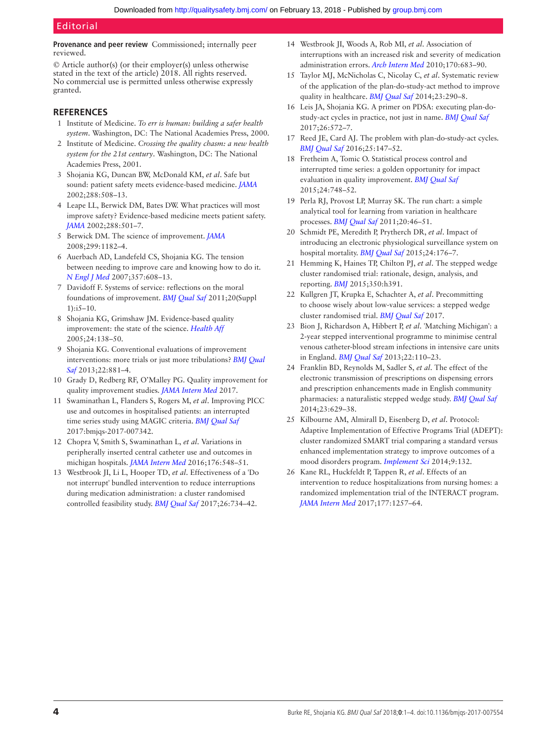# Editorial

**Provenance and peer review** Commissioned; internally peer reviewed.

© Article author(s) (or their employer(s) unless otherwise stated in the text of the article) 2018. All rights reserved. No commercial use is permitted unless otherwise expressly granted.

#### **References**

- <span id="page-3-0"></span>1 Institute of Medicine. *To err is human: building a safer health system*. Washington, DC: The National Academies Press, 2000.
- <span id="page-3-1"></span>2 Institute of Medicine. *Crossing the quality chasm: a new health system for the 21st century*. Washington, DC: The National Academies Press, 2001.
- <span id="page-3-2"></span>3 Shojania KG, Duncan BW, McDonald KM, *et al*. Safe but sound: patient safety meets evidence-based medicine. *[JAMA](http://www.ncbi.nlm.nih.gov/pubmed/12132985)* 2002;288:508–13.
- 4 Leape LL, Berwick DM, Bates DW. What practices will most improve safety? Evidence-based medicine meets patient safety. *[JAMA](http://www.ncbi.nlm.nih.gov/pubmed/12132984)* 2002;288:501–7.
- 5 Berwick DM. The science of improvement. *[JAMA](http://dx.doi.org/10.1001/jama.299.10.1182)* 2008;299:1182–4.
- 6 Auerbach AD, Landefeld CS, Shojania KG. The tension between needing to improve care and knowing how to do it. *[N Engl J Med](http://dx.doi.org/10.1056/NEJMsb070738)* 2007;357:608–13.
- <span id="page-3-3"></span>7 Davidoff F. Systems of service: reflections on the moral foundations of improvement. *[BMJ Qual Saf](http://dx.doi.org/10.1136/bmjqs.2010.046177)* 2011;20(Suppl 1):i5–10.
- <span id="page-3-4"></span>8 Shojania KG, Grimshaw JM. Evidence-based quality improvement: the state of the science. *[Health Aff](http://dx.doi.org/10.1377/hlthaff.24.1.138)* 2005;24:138–50.
- <span id="page-3-5"></span>9 Shojania KG. Conventional evaluations of improvement interventions: more trials or just more tribulations? *[BMJ Qual](http://dx.doi.org/10.1136/bmjqs-2013-002377)  [Saf](http://dx.doi.org/10.1136/bmjqs-2013-002377)* 2013;22:881–4.
- <span id="page-3-17"></span>10 Grady D, Redberg RF, O'Malley PG. Quality improvement for quality improvement studies. *[JAMA Intern Med](http://dx.doi.org/10.1001/jamainternmed.2017.6875)* 2017.
- <span id="page-3-6"></span>11 Swaminathan L, Flanders S, Rogers M, *et al*. Improving PICC use and outcomes in hospitalised patients: an interrupted time series study using MAGIC criteria. *[BMJ Qual Saf](http://dx.doi.org/10.1136/bmjqs-2017-007342)* 2017:bmjqs-2017-007342.
- <span id="page-3-7"></span>12 Chopra V, Smith S, Swaminathan L, *et al*. Variations in peripherally inserted central catheter use and outcomes in michigan hospitals. *[JAMA Intern Med](http://dx.doi.org/10.1001/jamainternmed.2015.8402)* 2016;176:548–51.
- <span id="page-3-8"></span>13 Westbrook JI, Li L, Hooper TD, *et al*. Effectiveness of a 'Do not interrupt' bundled intervention to reduce interruptions during medication administration: a cluster randomised controlled feasibility study. *[BMJ Qual Saf](http://dx.doi.org/10.1136/bmjqs-2016-006123)* 2017;26:734–42.
- <span id="page-3-9"></span>14 Westbrook JI, Woods A, Rob MI, *et al*. Association of interruptions with an increased risk and severity of medication administration errors. *[Arch Intern Med](http://dx.doi.org/10.1001/archinternmed.2010.65)* 2010;170:683–90.
- <span id="page-3-10"></span>15 Taylor MJ, McNicholas C, Nicolay C, *et al*. Systematic review of the application of the plan-do-study-act method to improve quality in healthcare. *[BMJ Qual Saf](http://dx.doi.org/10.1136/bmjqs-2013-001862)* 2014;23:290–8.
- 16 Leis JA, Shojania KG. A primer on PDSA: executing plan-dostudy-act cycles in practice, not just in name. *[BMJ Qual Saf](http://dx.doi.org/10.1136/bmjqs-2016-006245)* 2017;26:572–7.
- 17 Reed JE, Card AJ. The problem with plan-do-study-act cycles. *[BMJ Qual Saf](http://dx.doi.org/10.1136/bmjqs-2015-005076)* 2016;25:147–52.
- <span id="page-3-11"></span>18 Fretheim A, Tomic O. Statistical process control and interrupted time series: a golden opportunity for impact evaluation in quality improvement. *[BMJ Qual Saf](http://dx.doi.org/10.1136/bmjqs-2014-003756)* 2015;24:748–52.
- 19 Perla RJ, Provost LP, Murray SK. The run chart: a simple analytical tool for learning from variation in healthcare processes. *[BMJ Qual Saf](http://dx.doi.org/10.1136/bmjqs.2009.037895)* 2011;20:46–51.
- <span id="page-3-12"></span>20 Schmidt PE, Meredith P, Prytherch DR, *et al*. Impact of introducing an electronic physiological surveillance system on hospital mortality. *[BMJ Qual Saf](http://dx.doi.org/10.1136/bmjqs-2014-003845)* 2015;24:176–7.
- <span id="page-3-13"></span>21 Hemming K, Haines TP, Chilton PJ, *et al*. The stepped wedge cluster randomised trial: rationale, design, analysis, and reporting. *[BMJ](http://dx.doi.org/10.1136/bmj.h391)* 2015;350:h391.
- 22 Kullgren JT, Krupka E, Schachter A, *et al*. Precommitting to choose wisely about low-value services: a stepped wedge cluster randomised trial. *[BMJ Qual Saf](http://dx.doi.org/10.1136/bmjqs-2017-006699)* 2017.
- <span id="page-3-14"></span>23 Bion J, Richardson A, Hibbert P, *et al*. 'Matching Michigan': a 2-year stepped interventional programme to minimise central venous catheter-blood stream infections in intensive care units in England. *[BMJ Qual Saf](http://dx.doi.org/10.1136/bmjqs-2012-001325)* 2013;22:110–23.
- 24 Franklin BD, Reynolds M, Sadler S, *et al*. The effect of the electronic transmission of prescriptions on dispensing errors and prescription enhancements made in English community pharmacies: a naturalistic stepped wedge study. *[BMJ Qual Saf](http://dx.doi.org/10.1136/bmjqs-2013-002776)* 2014;23:629–38.
- <span id="page-3-15"></span>25 Kilbourne AM, Almirall D, Eisenberg D, *et al*. Protocol: Adaptive Implementation of Effective Programs Trial (ADEPT): cluster randomized SMART trial comparing a standard versus enhanced implementation strategy to improve outcomes of a mood disorders program. *[Implement Sci](http://dx.doi.org/10.1186/s13012-014-0132-x)* 2014;9:132.
- <span id="page-3-16"></span>26 Kane RL, Huckfeldt P, Tappen R, *et al*. Effects of an intervention to reduce hospitalizations from nursing homes: a randomized implementation trial of the INTERACT program. *[JAMA Intern Med](http://dx.doi.org/10.1001/jamainternmed.2017.2657)* 2017;177:1257–64.